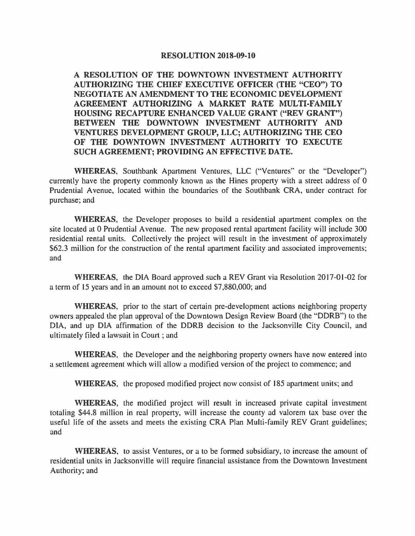## **RESOLUTION 2018-09-10**

**A RESOLUTION OF THE DOWNTOWN INVESTMENT AUTHORITY AUTHORIZING THE CHIEF EXECUTIVE OFFICER (THE "CEO") TO NEGOTIATE AN AMENDMENT TO THE ECONOMIC DEVELOPMENT AGREEMENT AUTHORIZING A MARKET RATE MULTI-FAMILY HOUSING RECAPTURE ENHANCED VALUE GRANT ("REV GRANT") BETWEEN THE DOWNTOWN INVESTMENT AUTHORITY AND VENTURES DEVELOPMENT GROUP, LLC; AUTHORIZING THE CEO OF THE DOWNTOWN INVESTMENT AUTHORITY TO EXECUTE SUCH AGREEMENT; PROVIDING AN EFFECTIVE DATE.** 

**WHEREAS,** Southbank Apartment Ventures, LLC ("Ventures" or the "Developer") currently have the property commonly known as the Hines property with a street address of 0 Prudential A venue, located within the boundaries of the Southbank CRA, under contract for purchase; and

**WHEREAS,** the Developer proposes to build a residential apartment complex on the site located at O Prudential A venue. The new proposed rental apartment facility will include 300 residential rental units. Collectively the project will result in the investment of approximately \$62.3 million for the construction of the rental apartment facility and associated improvements; and

**WHEREAS,** the DIA Board approved such a REV Grant via Resolution 2017-01-02 for a term of 15 years and in an amount not to exceed \$7,880,000; and

**WHEREAS,** prior to the start of certain pre-development actions neighboring property owners appealed the plan approval of the Downtown Design Review Board (the "DDRB") to the DIA, and up DIA affirmation of the DDRB decision to the Jacksonville City Council, and ultimately filed a lawsuit in Court ; and

**WHEREAS,** the Developer and the neighboring property owners have now entered into a settlement agreement which will allow a modified version of the project to commence; and

**WHEREAS,** the proposed modified project now consist of 185 apartment units; and

**WHEREAS,** the modified project will result in increased private capital investment totaling \$44.8 million in real property, will increase the county ad valorem tax base over the useful life of the assets and meets the existing CRA Plan Multi-family REV Grant guidelines; and

**WHEREAS,** to assist Ventures, or a to be formed subsidiary, to increase the amount of residential units in Jacksonville will require financial assistance from the Downtown Investment Authority; and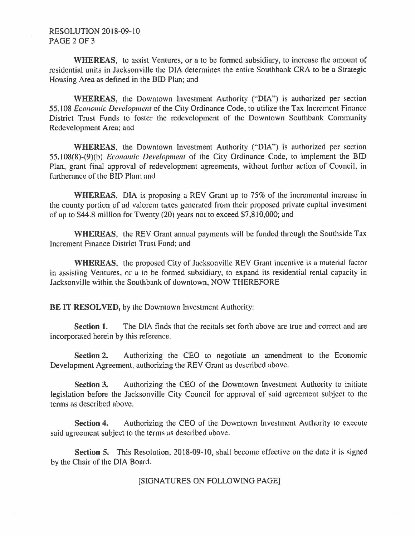## RESOLUTION 2018-09-10 PAGE 2 OF 3

**WHEREAS,** to assist Ventures, or a to be formed subsidiary, to increase the amount of residential units in Jacksonville the DIA determines the entire Southbank CRA to be a Strategic Housing Area as defined in the BID Plan; and

**WHEREAS,** the Downtown Investment Authority ("DIA") is authorized per section 55. l 08 *Economic Development* of the City Ordinance Code, to utilize the Tax Increment Finance District Trust Funds to foster the redevelopment of the Downtown Southbank Community Redevelopment Area; and

**WHEREAS,** the Downtown Investment Authority ("DIA") is authorized per section 55. !08(8)-(9)(b) *Economic Development* of the City Ordinance Code, to implement the BID Plan, grant final approval of redevelopment agreements, without further action of Council, in furtherance of the BID Plan; and

**WHEREAS,** DIA is proposing a REV Grant up to 75% of the incremental increase in the county portion of ad valorem taxes generated from their proposed private capital investment of up to \$44.8 million for Twenty (20) years not to exceed \$7,810,000; and

**WHEREAS,** the REV Grant annual payments will be funded through the Southside Tax Increment Finance District Trust Fund; and

**WHEREAS,** the proposed City of Jacksonville REV Grant incentive is a material factor in assisting Ventures, or a to be formed subsidiary, to expand its residential rental capacity in Jacksonville within the Southbank of downtown, NOW THEREFORE

**BE IT RESOLVED, by the Downtown Investment Authority:** 

**Section 1.** The DIA finds that the recitals set forth above are true and correct and are incorporated herein by this reference.

**Section 2.** Authorizing the CEO to negotiate an amendment to the Economic Development Agreement, authorizing the REV Grant as described above.

**Section 3.** Authorizing the CEO of the Downtown Investment Authority to initiate legislation before the Jacksonville City Council for approval of said agreement subject to the terms as described above.

**Section 4.** Authorizing the CEO of the Downtown Investment Authority to execute said agreement subject to the terms as described above.

**Section 5.** This Resolution, 2018-09-10, shall become effective on the date it is signed by the Chair of the DIA Board.

[SIGNATURES ON FOLLOWING PAGE]